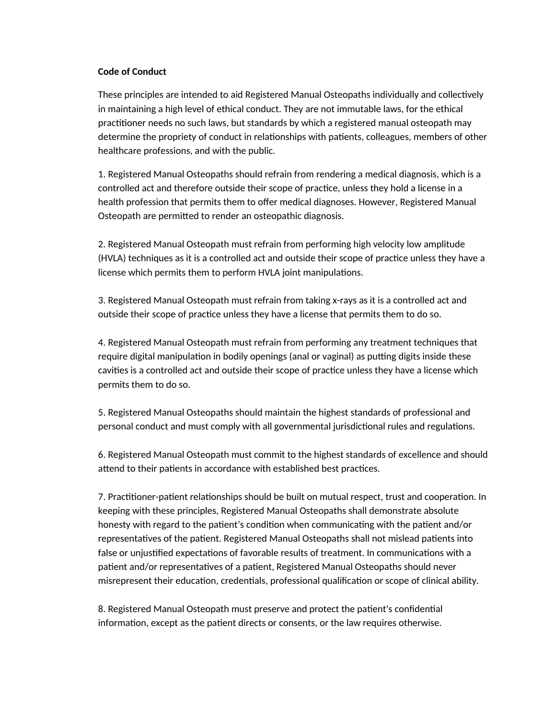## **Code of Conduct**

These principles are intended to aid Registered Manual Osteopaths individually and collectively in maintaining a high level of ethical conduct. They are not immutable laws, for the ethical practitioner needs no such laws, but standards by which a registered manual osteopath may determine the propriety of conduct in relationships with patients, colleagues, members of other healthcare professions, and with the public.

1. Registered Manual Osteopaths should refrain from rendering a medical diagnosis, which is a controlled act and therefore outside their scope of practice, unless they hold a license in a health profession that permits them to offer medical diagnoses. However, Registered Manual Osteopath are permitted to render an osteopathic diagnosis.

2. Registered Manual Osteopath must refrain from performing high velocity low amplitude (HVLA) techniques as it is a controlled act and outside their scope of practice unless they have a license which permits them to perform HVLA joint manipulations.

3. Registered Manual Osteopath must refrain from taking x-rays as it is a controlled act and outside their scope of practice unless they have a license that permits them to do so.

4. Registered Manual Osteopath must refrain from performing any treatment techniques that require digital manipulation in bodily openings (anal or vaginal) as putting digits inside these cavities is a controlled act and outside their scope of practice unless they have a license which permits them to do so.

5. Registered Manual Osteopaths should maintain the highest standards of professional and personal conduct and must comply with all governmental jurisdictional rules and regulations.

6. Registered Manual Osteopath must commit to the highest standards of excellence and should attend to their patients in accordance with established best practices.

7. Practitioner-patient relationships should be built on mutual respect, trust and cooperation. In keeping with these principles, Registered Manual Osteopaths shall demonstrate absolute honesty with regard to the patient's condition when communicating with the patient and/or representatives of the patient. Registered Manual Osteopaths shall not mislead patients into false or unjustified expectations of favorable results of treatment. In communications with a patient and/or representatives of a patient, Registered Manual Osteopaths should never misrepresent their education, credentials, professional qualification or scope of clinical ability.

8. Registered Manual Osteopath must preserve and protect the patient's confidential information, except as the patient directs or consents, or the law requires otherwise.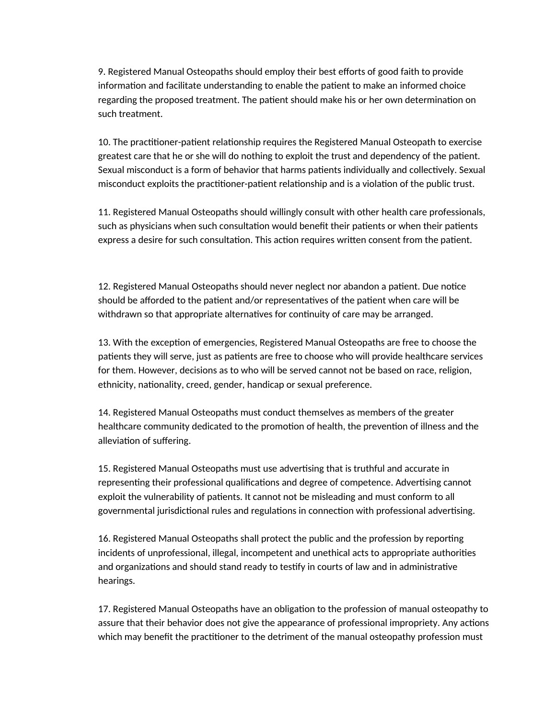9. Registered Manual Osteopaths should employ their best efforts of good faith to provide information and facilitate understanding to enable the patient to make an informed choice regarding the proposed treatment. The patient should make his or her own determination on such treatment.

10. The practitioner-patient relationship requires the Registered Manual Osteopath to exercise greatest care that he or she will do nothing to exploit the trust and dependency of the patient. Sexual misconduct is a form of behavior that harms patients individually and collectively. Sexual misconduct exploits the practitioner-patient relationship and is a violation of the public trust.

11. Registered Manual Osteopaths should willingly consult with other health care professionals, such as physicians when such consultation would benefit their patients or when their patients express a desire for such consultation. This action requires written consent from the patient.

12. Registered Manual Osteopaths should never neglect nor abandon a patient. Due notice should be afforded to the patient and/or representatives of the patient when care will be withdrawn so that appropriate alternatives for continuity of care may be arranged.

13. With the exception of emergencies, Registered Manual Osteopaths are free to choose the patients they will serve, just as patients are free to choose who will provide healthcare services for them. However, decisions as to who will be served cannot not be based on race, religion, ethnicity, nationality, creed, gender, handicap or sexual preference.

14. Registered Manual Osteopaths must conduct themselves as members of the greater healthcare community dedicated to the promotion of health, the prevention of illness and the alleviation of suffering.

15. Registered Manual Osteopaths must use advertising that is truthful and accurate in representing their professional qualifications and degree of competence. Advertising cannot exploit the vulnerability of patients. It cannot not be misleading and must conform to all governmental jurisdictional rules and regulations in connection with professional advertising.

16. Registered Manual Osteopaths shall protect the public and the profession by reporting incidents of unprofessional, illegal, incompetent and unethical acts to appropriate authorities and organizations and should stand ready to testify in courts of law and in administrative hearings.

17. Registered Manual Osteopaths have an obligation to the profession of manual osteopathy to assure that their behavior does not give the appearance of professional impropriety. Any actions which may benefit the practitioner to the detriment of the manual osteopathy profession must